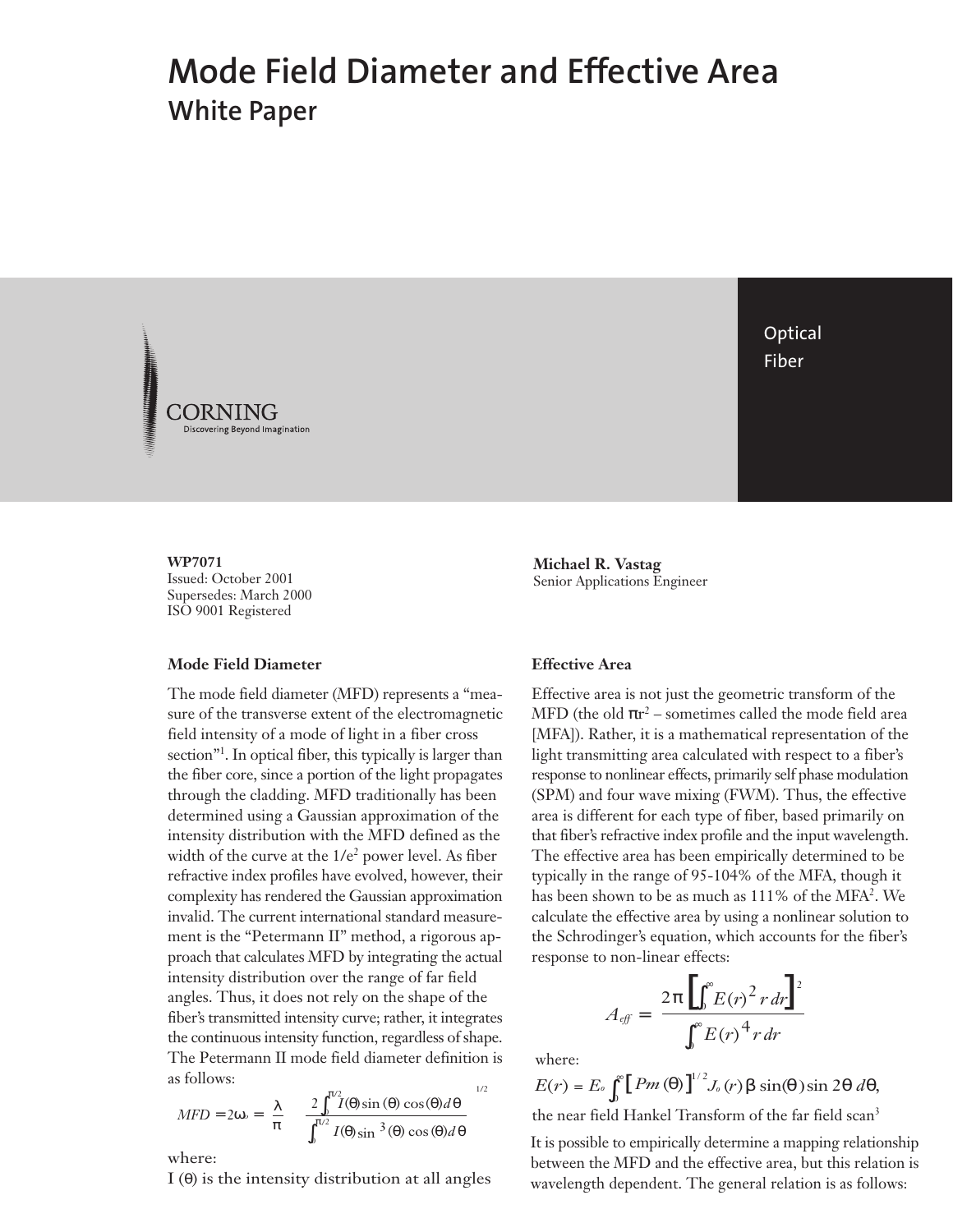# **Mode Field Diameter and Effective Area White Paper**



**WP7071** Issued: October 2001 Supersedes: March 2000 ISO 9001 Registered

## **Mode Field Diameter**

The mode field diameter (MFD) represents a "measure of the transverse extent of the electromagnetic field intensity of a mode of light in a fiber cross section"1 . In optical fiber, this typically is larger than the fiber core, since a portion of the light propagates through the cladding. MFD traditionally has been determined using a Gaussian approximation of the intensity distribution with the MFD defined as the width of the curve at the 1/e<sup>2</sup> power level. As fiber refractive index profiles have evolved, however, their complexity has rendered the Gaussian approximation invalid. The current international standard measurement is the "Petermann II" method, a rigorous approach that calculates MFD by integrating the actual intensity distribution over the range of far field angles. Thus, it does not rely on the shape of the fiber's transmitted intensity curve; rather, it integrates the continuous intensity function, regardless of shape. The Petermann II mode field diameter definition is as follows:

$$
MFD = 2\omega \circ = \left(\frac{\lambda}{\pi}\right) \left[\frac{2\int_0^{\pi/2} I(\theta) \sin(\theta) \cos(\theta) d\theta}{\int_0^{\pi/2} I(\theta) \sin^3(\theta) \cos(\theta) d\theta}\right]^{1/2}
$$

where:

I (θ) is the intensity distribution at all angles

**Optical** Fiber

**Michael R. Vastag** Senior Applications Engineer

## **Effective Area**

Effective area is not just the geometric transform of the MFD (the old  $\pi r^2$  – sometimes called the mode field area [MFA]). Rather, it is a mathematical representation of the light transmitting area calculated with respect to a fiber's response to nonlinear effects, primarily self phase modulation (SPM) and four wave mixing (FWM). Thus, the effective area is different for each type of fiber, based primarily on that fiber's refractive index profile and the input wavelength. The effective area has been empirically determined to be typically in the range of 95-104% of the MFA, though it has been shown to be as much as 111% of the MFA2 . We calculate the effective area by using a nonlinear solution to the Schrodinger's equation, which accounts for the fiber's response to non-linear effects:

$$
A_{\text{eff}} = \left\{ \frac{2\pi \left[ \int_0^\infty E(r)^2 r dr \right]^2}{\int_0^\infty E(r)^4 r dr} \right\}
$$

where:

$$
E(r) = E_o \int_0^{\infty} \left[ Pm(\theta) \right]^{1/2} J_o(r) \beta \sin(\theta) \sin 2\theta \ d\theta,
$$

the near field Hankel Transform of the far field scan3

It is possible to empirically determine a mapping relationship between the MFD and the effective area, but this relation is wavelength dependent. The general relation is as follows: